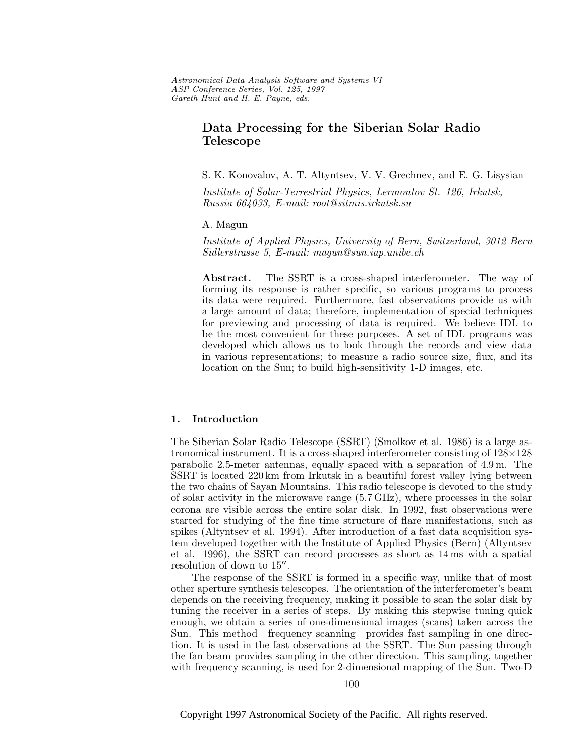Astronomical Data Analysis Software and Systems VI ASP Conference Series, Vol. 125, 1997 Gareth Hunt and H. E. Payne, e ds.

# **Data Processing for the Siberian Solar Radio Telescope**

S. K. Konovalov, A. T. Altyntsev, V. V. Grechnev, and E. G. Lisysian

Institute of Solar-Terrestrial Physics, Lermontov St. 126, Irkutsk, Russia 664033, E-mail: root@sitmis.irkutsk.su

A. Magun

Institute of Applied Physics, University of Bern, Switzerland, 3012 Bern Sidlerstrasse 5, E-mail: magun@sun.iap.unibe.ch

**Abstract.** The SSRT is a cross-shaped interferometer. The way of forming its response is rather specific, so various programs to process its data were required. Furthermore, fast observations provide us with a large amount of data; therefore, implementation of special techniques for previewing and processing of data is required. We believe IDL to be the most convenient for these purposes. A set of IDL programs was developed which allows us to look through the records and view data in various representations; to measure a radio source size, flux, and its location on the Sun; to build high-sensitivity 1-D images, etc.

## **1. Introduction**

The Siberian Solar Radio Telescope (SSRT) (Smolkov et al. 1986) is a large astronomical instrument. It is a cross-shaped interferometer consisting of 128×128 parabolic 2.5-meter antennas, equally spaced with a separation of 4.9 m. The SSRT is located 220 km from Irkutsk in a beautiful forest valley lying between the two chains of Sayan Mountains. This radio telescope is devoted to the study of solar activity in the microwave range (5.7 GHz), where processes in the solar corona are visible across the entire solar disk. In 1992, fast observations were started for studying of the fine time structure of flare manifestations, such as spikes (Altyntsev et al. 1994). After introduction of a fast data acquisition system developed together with the Institute of Applied Physics (Bern) (Altyntsev et al. 1996), the SSRT can record processes as short as 14 ms with a spatial resolution of down to  $15$ ".

The response of the SSRT is formed in a specific way, unlike that of most other aperture synthesis telescopes. The orientation of the interferometer's beam depends on the receiving frequency, making it possible to scan the solar disk by tuning the receiver in a series of steps. By making this stepwise tuning quick enough, we obtain a series of one-dimensional images (scans) taken across the Sun. This method—frequency scanning—provides fast sampling in one direction. It is used in the fast observations at the SSRT. The Sun passing through the fan beam provides sampling in the other direction. This sampling, together with frequency scanning, is used for 2-dimensional mapping of the Sun. Two-D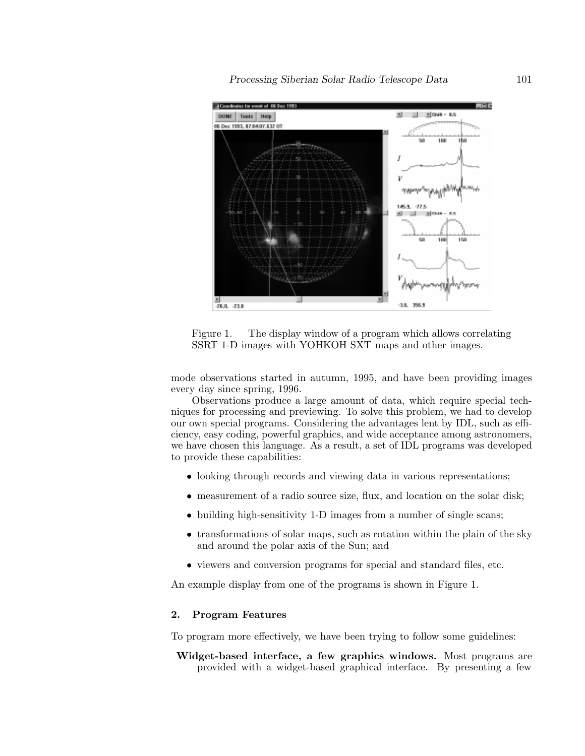

Figure 1. The display window of a program which allows correlating SSRT 1-D images with YOHKOH SXT maps and other images.

mode observations started in autumn, 1995, and have been providing images every day since spring, 1996.

Observations produce a large amount of data, which require special techniques for processing and previewing. To solve this problem, we had to develop our own special programs. Considering the advantages lent by IDL, such as efficiency, easy coding, powerful graphics, and wide acceptance among astronomers, we have chosen this language. As a result, a set of IDL programs was developed to provide these capabilities:

- looking through records and viewing data in various representations;
- measurement of a radio source size, flux, and location on the solar disk;
- building high-sensitivity 1-D images from a number of single scans;
- transformations of solar maps, such as rotation within the plain of the sky and around the polar axis of the Sun; and
- viewers and conversion programs for special and standard files, etc.

An example display from one of the programs is shown in Figure 1.

# **2. Program Features**

To program more effectively, we have been trying to follow some guidelines:

**Widget-based interface, a few graphics windows.** Most programs are provided with a widget-based graphical interface. By presenting a few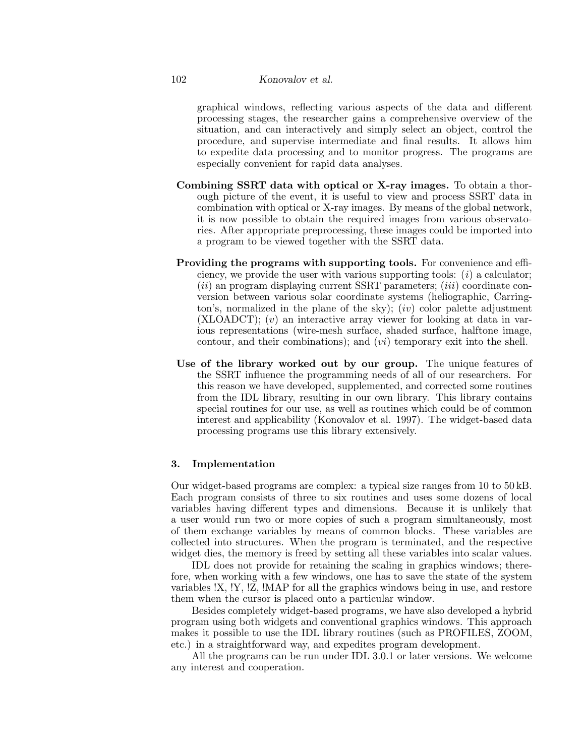#### 102 *Konovalov et al.*

graphical windows, reflecting various aspects of the data and different processing stages, the researcher gains a comprehensive overview of the situation, and can interactively and simply select an object, control the procedure, and supervise intermediate and final results. It allows him to expedite data processing and to monitor progress. The programs are especially convenient for rapid data analyses.

- **Combining SSRT data with optical or X-ray images.** To obtain a thorough picture of the event, it is useful to view and process SSRT data in combination with optical or X-ray images. By means of the global network, it is now possible to obtain the required images from various observatories. After appropriate preprocessing, these images could be imported into a program to be viewed together with the SSRT data.
- **Providing the programs with supporting tools.** For convenience and efficiency, we provide the user with various supporting tools:  $(i)$  a calculator;  $(ii)$  an program displaying current SSRT parameters;  $(iii)$  coordinate conversion between various solar coordinate systems (heliographic, Carrington's, normalized in the plane of the sky);  $(iv)$  color palette adjustment  $(XLOADCT)$ ;  $(v)$  an interactive array viewer for looking at data in various representations (wire-mesh surface, shaded surface, halftone image, contour, and their combinations); and  $(vi)$  temporary exit into the shell.
- **Use of the library worked out by our group.** The unique features of the SSRT influence the programming needs of all of our researchers. For this reason we have developed, supplemented, and corrected some routines from the IDL library, resulting in our own library. This library contains special routines for our use, as well as routines which could be of common interest and applicability (Konovalov et al. 1997). The widget-based data processing programs use this library extensively.

# **3. Implementation**

Our widget-based programs are complex: a typical size ranges from 10 to 50 kB. Each program consists of three to six routines and uses some dozens of local variables having different types and dimensions. Because it is unlikely that a user would run two or more copies of such a program simultaneously, most of them exchange variables by means of common blocks. These variables are collected into structures. When the program is terminated, and the respective widget dies, the memory is freed by setting all these variables into scalar values.

IDL does not provide for retaining the scaling in graphics windows; therefore, when working with a few windows, one has to save the state of the system variables !X, !Y, !Z, !MAP for all the graphics windows being in use, and restore them when the cursor is placed onto a particular window.

Besides completely widget-based programs, we have also developed a hybrid program using both widgets and conventional graphics windows. This approach makes it possible to use the IDL library routines (such as PROFILES, ZOOM, etc.) in a straightforward way, and expedites program development.

All the programs can be run under IDL 3.0.1 or later versions. We welcome any interest and cooperation.